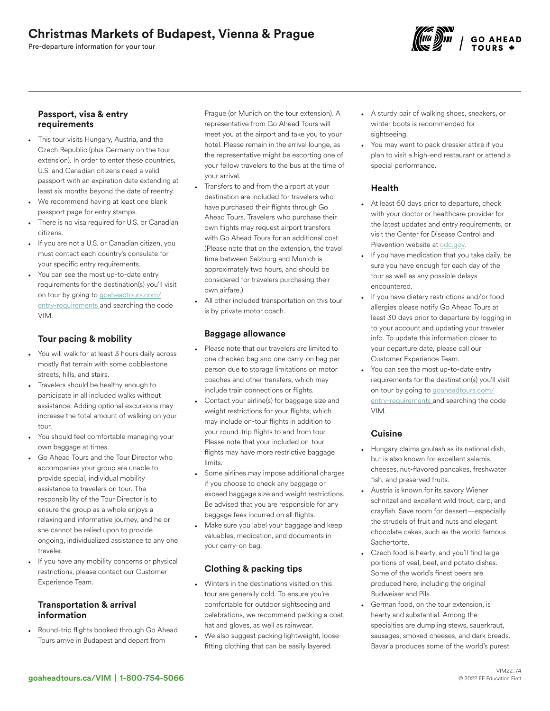# Christmas Markets of Budapest, Vienna & Prague

Pre-departure information for your tour



### Passport, visa & entry requirements

- This tour visits Hungary, Austria, and the Czech Republic (plus Germany on the tour extension). In order to enter these countries, U.S. and Canadian citizens need a valid passport with an expiration date extending at least six months beyond the date of reentry.
- We recommend having at least one blank passport page for entry stamps.
- There is no visa required for U.S. or Canadian citizens.
- If you are not a U.S. or Canadian citizen, you must contact each country's consulate for your specific entry requirements.
- You can see the most up-to-date entry requirements for the destination(s) you'll visit on tour by going to [goaheadtours.com/](/entry-requirements?tourCode=VIM) [entry-requirements](/entry-requirements?tourCode=VIM) and searching the code VIM.

## Tour pacing & mobility

- You will walk for at least 3 hours daily across mostly flat terrain with some cobblestone streets, hills, and stairs.
- Travelers should be healthy enough to participate in all included walks without assistance. Adding optional excursions may increase the total amount of walking on your tour.
- You should feel comfortable managing your own baggage at times.
- Go Ahead Tours and the Tour Director who accompanies your group are unable to provide special, individual mobility assistance to travelers on tour. The responsibility of the Tour Director is to ensure the group as a whole enjoys a relaxing and informative journey, and he or she cannot be relied upon to provide ongoing, individualized assistance to any one traveler.
- If you have any mobility concerns or physical restrictions, please contact our Customer Experience Team.

### Transportation & arrival information

• Round-trip flights booked through Go Ahead Tours arrive in Budapest and depart from

Prague (or Munich on the tour extension). A representative from Go Ahead Tours will meet you at the airport and take you to your hotel. Please remain in the arrival lounge, as the representative might be escorting one of your fellow travelers to the bus at the time of your arrival.

- Transfers to and from the airport at your destination are included for travelers who have purchased their flights through Go Ahead Tours. Travelers who purchase their own flights may request airport transfers with Go Ahead Tours for an additional cost. (Please note that on the extension, the travel time between Salzburg and Munich is approximately two hours, and should be considered for travelers purchasing their own airfare.)
- All other included transportation on this tour is by private motor coach.

### Baggage allowance

- Please note that our travelers are limited to one checked bag and one carry-on bag per person due to storage limitations on motor coaches and other transfers, which may include train connections or flights.
- Contact your airline(s) for baggage size and weight restrictions for your flights, which may include on-tour flights in addition to your round-trip flights to and from tour. Please note that your included on-tour flights may have more restrictive baggage limits.
- Some airlines may impose additional charges if you choose to check any baggage or exceed baggage size and weight restrictions. Be advised that you are responsible for any baggage fees incurred on all flights.
- Make sure you label your baggage and keep valuables, medication, and documents in your carry-on bag.

## Clothing & packing tips

- Winters in the destinations visited on this tour are generally cold. To ensure you're comfortable for outdoor sightseeing and celebrations, we recommend packing a coat, hat and gloves, as well as rainwear.
- We also suggest packing lightweight, loosefitting clothing that can be easily layered.
- A sturdy pair of walking shoes, sneakers, or winter boots is recommended for sightseeing.
- You may want to pack dressier attire if you plan to visit a high-end restaurant or attend a special performance.

### Health

- At least 60 days prior to departure, check with your doctor or healthcare provider for the latest updates and entry requirements, or visit the Center for Disease Control and Prevention website at [cdc.gov.](https://www/cdc.gov)
- If you have medication that you take daily, be sure you have enough for each day of the tour as well as any possible delays encountered.
- If you have dietary restrictions and/or food allergies please notify Go Ahead Tours at least 30 days prior to departure by logging in to your account and updating your traveler info. To update this information closer to your departure date, please call our Customer Experience Team.
- You can see the most up-to-date entry requirements for the destination(s) you'll visit on tour by going to [goaheadtours.com/](/entry-requirements?tourCode=VIM) [entry-requirements](/entry-requirements?tourCode=VIM) and searching the code VIM.

### **Cuisine**

- Hungary claims goulash as its national dish, but is also known for excellent salamis, cheeses, nut-flavored pancakes, freshwater fish, and preserved fruits.
- Austria is known for its savory Wiener schnitzel and excellent wild trout, carp, and crayfish. Save room for dessert—especially the strudels of fruit and nuts and elegant chocolate cakes, such as the world-famous Sachertorte.
- Czech food is hearty, and you'll find large portions of veal, beef, and potato dishes. Some of the world's finest beers are produced here, including the original Budweiser and Pils.
- German food, on the tour extension, is hearty and substantial. Among the specialties are dumpling stews, sauerkraut, sausages, smoked cheeses, and dark breads. Bavaria produces some of the world's purest